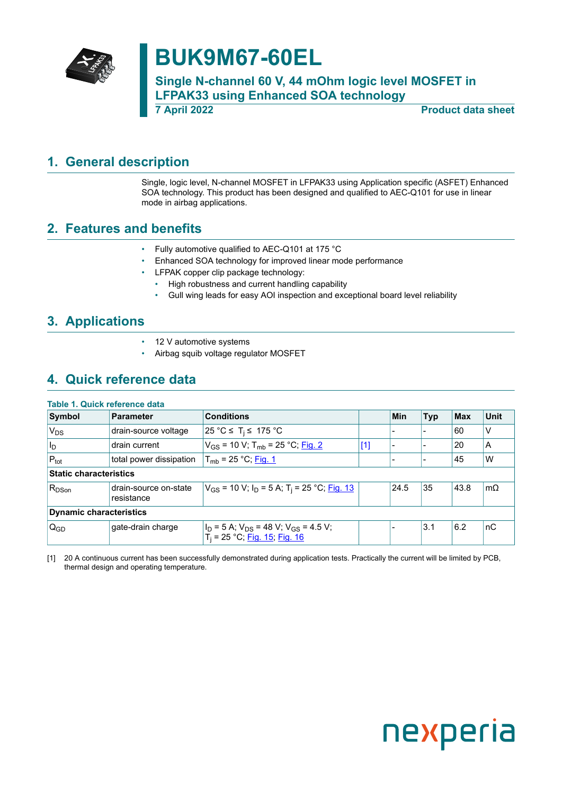

## **BUK9M67-60EL**

**Single N-channel 60 V, 44 mOhm logic level MOSFET in LFPAK33 using Enhanced SOA technology 7 April 2022 Product data sheet**

## <span id="page-0-1"></span>**1. General description**

<span id="page-0-0"></span>Single, logic level, N-channel MOSFET in LFPAK33 using Application specific (ASFET) Enhanced SOA technology. This product has been designed and qualified to AEC-Q101 for use in linear mode in airbag applications.

## <span id="page-0-2"></span>**2. Features and benefits**

- Fully automotive qualified to AEC-Q101 at 175 °C
- Enhanced SOA technology for improved linear mode performance
- LFPAK copper clip package technology:
	- High robustness and current handling capability
	- Gull wing leads for easy AOI inspection and exceptional board level reliability

## <span id="page-0-3"></span>**3. Applications**

- 12 V automotive systems
- Airbag squib voltage regulator MOSFET

## <span id="page-0-4"></span>**4. Quick reference data**

#### **Table 1. Quick reference data**

| Symbol                         | <b>Parameter</b>                    | <b>Conditions</b>                                                                          |       | Min  | <b>Typ</b> | Max  | Unit      |
|--------------------------------|-------------------------------------|--------------------------------------------------------------------------------------------|-------|------|------------|------|-----------|
| V <sub>DS</sub>                | drain-source voltage                | 25 °C $\leq$ T <sub>i</sub> $\leq$ 175 °C                                                  |       |      |            | 60   | V         |
| $I_D$                          | drain current                       | $V_{GS}$ = 10 V; T <sub>mb</sub> = 25 °C; Fig. 2                                           | $[1]$ |      |            | 20   | A         |
| $P_{\text{tot}}$               | total power dissipation             | $T_{\rm mb}$ = 25 °C; Fig. 1                                                               |       |      |            | 45   | W         |
|                                | <b>Static characteristics</b>       |                                                                                            |       |      |            |      |           |
| R <sub>DSon</sub>              | drain-source on-state<br>resistance | $V_{GS}$ = 10 V; I <sub>D</sub> = 5 A; T <sub>i</sub> = 25 °C; Fig. 13                     |       | 24.5 | 35         | 43.8 | $m\Omega$ |
| <b>Dynamic characteristics</b> |                                     |                                                                                            |       |      |            |      |           |
| $Q_{GD}$                       | gate-drain charge                   | $I_D$ = 5 A; $V_{DS}$ = 48 V; V <sub>GS</sub> = 4.5 V;<br>$T_i = 25 °C$ ; Fig. 15; Fig. 16 |       |      | 3.1        | 6.2  | ∣nC       |

[1] 20 A continuous current has been successfully demonstrated during application tests. Practically the current will be limited by PCB, thermal design and operating temperature.

# nexperia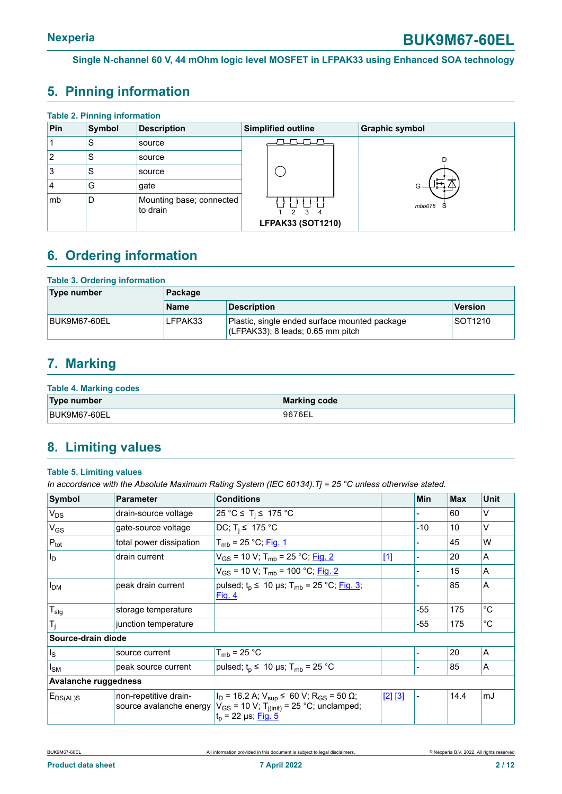## <span id="page-1-0"></span>**5. Pinning information**

| <b>Table 2. Pinning information</b> |               |                                      |                         |                       |  |  |  |  |
|-------------------------------------|---------------|--------------------------------------|-------------------------|-----------------------|--|--|--|--|
| Pin                                 | <b>Symbol</b> | <b>Description</b>                   | Simplified outline      | <b>Graphic symbol</b> |  |  |  |  |
|                                     | S             | source                               |                         |                       |  |  |  |  |
| 2                                   | S             | source                               |                         |                       |  |  |  |  |
| 3                                   | S             | source                               |                         |                       |  |  |  |  |
| 4                                   | G             | gate                                 |                         |                       |  |  |  |  |
| mb                                  | D             | Mounting base; connected<br>to drain | 3<br>$\mathcal{P}$<br>Δ | mbb076<br>5           |  |  |  |  |
|                                     |               |                                      | LFPAK33 (SOT1210)       |                       |  |  |  |  |

## <span id="page-1-1"></span>**6. Ordering information**

#### **Table 3. Ordering information**

| Type number  | Package     |                                                                                        |                     |  |  |  |
|--------------|-------------|----------------------------------------------------------------------------------------|---------------------|--|--|--|
|              | <b>Name</b> | <b>Description</b>                                                                     | Version             |  |  |  |
| BUK9M67-60EL | LFPAK33     | Plastic, single ended surface mounted package<br>$ $ (LFPAK33); 8 leads; 0.65 mm pitch | SOT <sub>1210</sub> |  |  |  |

## <span id="page-1-2"></span>**7. Marking**

#### **Table 4. Marking codes**

| Type number  | <b>Marking code</b> |
|--------------|---------------------|
| BUK9M67-60EL | 9676EL              |

## <span id="page-1-3"></span>**8. Limiting values**

#### **Table 5. Limiting values**

*In accordance with the Absolute Maximum Rating System (IEC 60134).Tj = 25 °C unless otherwise stated.*

| Symbol                      | <b>Parameter</b>                                 | <b>Conditions</b>                                                                                                                                                             |         | <b>Min</b> | <b>Max</b> | <b>Unit</b> |
|-----------------------------|--------------------------------------------------|-------------------------------------------------------------------------------------------------------------------------------------------------------------------------------|---------|------------|------------|-------------|
| $V_{DS}$                    | drain-source voltage                             | 25 °C ≤ T <sub>i</sub> ≤ 175 °C                                                                                                                                               |         |            | 60         | v           |
| $V_{GS}$                    | gate-source voltage                              | DC; $T_i \leq 175$ °C                                                                                                                                                         |         | $-10$      | 10         | V           |
| $P_{\text{tot}}$            | total power dissipation                          | $T_{mb}$ = 25 °C; Fig. 1                                                                                                                                                      |         |            | 45         | W           |
| $ I_{D} $                   | drain current                                    | $V_{GS}$ = 10 V; T <sub>mb</sub> = 25 °C; Fig. 2                                                                                                                              | $[1]$   |            | 20         | A           |
|                             |                                                  | $V_{GS}$ = 10 V; T <sub>mb</sub> = 100 °C; Fig. 2                                                                                                                             |         |            | 15         | A           |
| I <sub>DM</sub>             | peak drain current                               | pulsed; $t_p \le 10$ µs; $T_{mb} = 25$ °C; Fig. 3;<br>Fig. 4                                                                                                                  |         |            | 85         | A           |
| $T_{\text{stg}}$            | storage temperature                              |                                                                                                                                                                               |         | -55        | 175        | $^{\circ}C$ |
| $T_i$                       | junction temperature                             |                                                                                                                                                                               |         | $-55$      | 175        | $^{\circ}C$ |
| Source-drain diode          |                                                  |                                                                                                                                                                               |         |            |            |             |
| $\mathsf{I}_\mathsf{S}$     | source current                                   | $T_{mb}$ = 25 °C                                                                                                                                                              |         |            | 20         | A           |
| $I_{SM}$                    | peak source current                              | pulsed; $t_p \leq 10 \text{ }\mu\text{s}$ ; T <sub>mb</sub> = 25 °C                                                                                                           |         |            | 85         | A           |
| <b>Avalanche ruggedness</b> |                                                  |                                                                                                                                                                               |         |            |            |             |
| $E_{DS(AL)S}$               | non-repetitive drain-<br>source avalanche energy | $I_D$ = 16.2 A; $V_{\text{sup}}$ ≤ 60 V; R <sub>GS</sub> = 50 $\Omega$ ;<br>$V_{GS}$ = 10 V; T <sub>i(init)</sub> = 25 °C; unclamped;<br>$t_p = 22 \,\mu s; \frac{Fig. 5}{2}$ | [2] [3] |            | 14.4       | mJ          |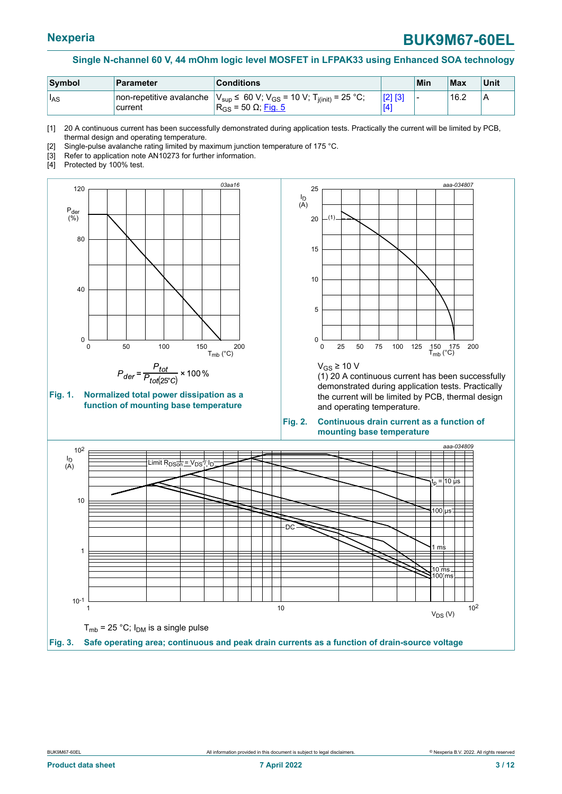<span id="page-2-2"></span>

| Symbol    | ∣Parameter                           | <b>Conditions</b>                                                                                                |                    | Min                      | Max  | <b>Unit</b> |
|-----------|--------------------------------------|------------------------------------------------------------------------------------------------------------------|--------------------|--------------------------|------|-------------|
| $ I_{AS}$ | non-repetitive avalanche<br>ˈcurrent | $V_{\text{sup}}$ ≤ 60 V; V <sub>GS</sub> = 10 V; T <sub>j(init)</sub> = 25 °C;<br>$R_{GS}$ = 50 Ω; <u>Fig. 5</u> | $[2]$<br>Įσ<br>[4] | $\overline{\phantom{a}}$ | 16.2 | ۱A          |

[1] 20 A continuous current has been successfully demonstrated during application tests. Practically the current will be limited by PCB, thermal design and operating temperature.

[2] Single-pulse avalanche rating limited by maximum junction temperature of 175 °C.

[3] Refer to application note AN10273 for further information.

[4] Protected by 100% test.

<span id="page-2-1"></span>



<span id="page-2-0"></span>

 $V$ <sub>GS</sub> ≥ 10 V

(1) 20 A continuous current has been successfully demonstrated during application tests. Practically the current will be limited by PCB, thermal design and operating temperature.

#### **Fig. 2. Continuous drain current as a function of mounting base temperature**

<span id="page-2-3"></span>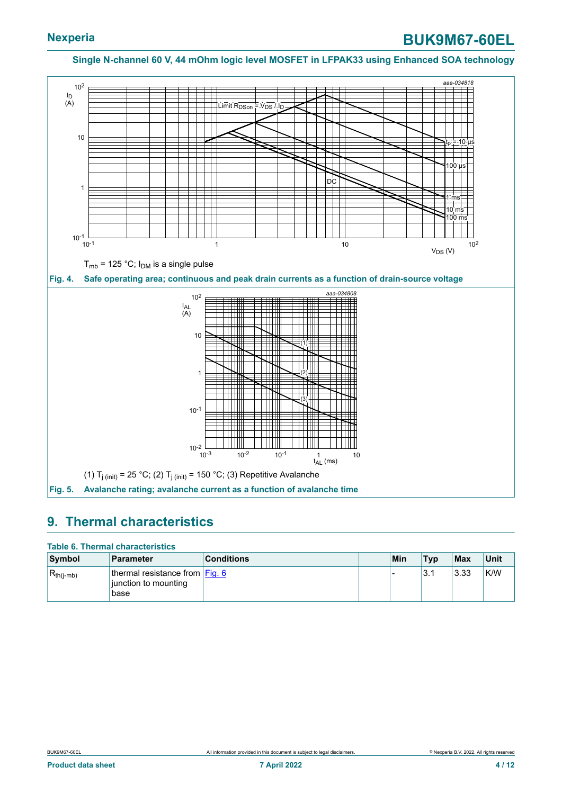<span id="page-3-1"></span><span id="page-3-0"></span>

## <span id="page-3-2"></span>**9. Thermal characteristics**

#### **Table 6. Thermal characteristics**

| Symbol           | <b>Parameter</b>                                                 | <b>Conditions</b> | Min | <b>Typ</b> | Max  | Unit |
|------------------|------------------------------------------------------------------|-------------------|-----|------------|------|------|
| $ R_{th(j-mb)} $ | thermal resistance from $Eig. 6$<br>junction to mounting<br>base |                   |     | 3.1        | 3.33 | K/W  |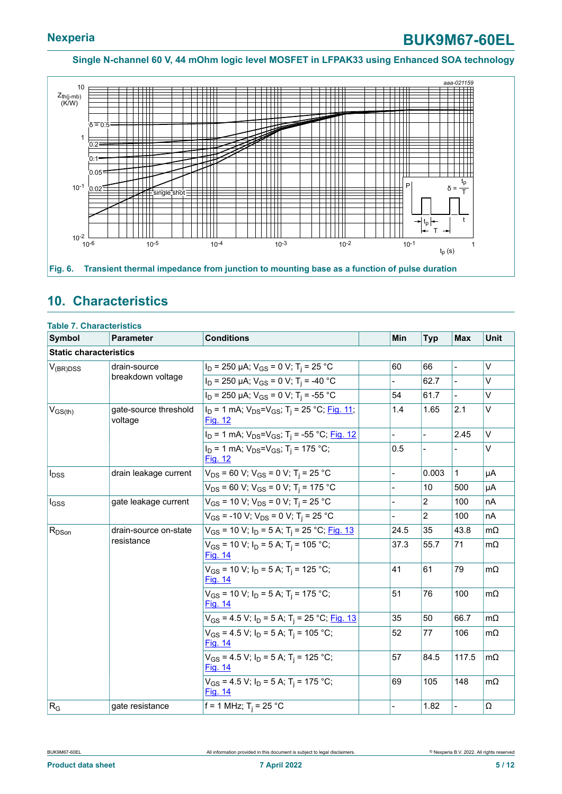<span id="page-4-0"></span>

## <span id="page-4-1"></span>**10. Characteristics**

| Symbol                        | <b>Parameter</b>                    | <b>Conditions</b>                                                                    | Min  | <b>Typ</b>     | <b>Max</b>     | Unit      |
|-------------------------------|-------------------------------------|--------------------------------------------------------------------------------------|------|----------------|----------------|-----------|
| <b>Static characteristics</b> |                                     |                                                                                      |      |                |                |           |
| $V_{(BR)DSS}$                 | drain-source                        | $I_D$ = 250 µA; $V_{GS}$ = 0 V; T <sub>i</sub> = 25 °C                               | 60   | 66             | $\overline{a}$ | $\vee$    |
|                               | breakdown voltage                   | $I_D$ = 250 µA; $V_{GS}$ = 0 V; T <sub>i</sub> = -40 °C                              |      | 62.7           |                | V         |
|                               |                                     | $I_D$ = 250 µA; $V_{GS}$ = 0 V; T <sub>i</sub> = -55 °C                              | 54   | 61.7           | $\blacksquare$ | V         |
| $V_{GS(th)}$                  | gate-source threshold<br>voltage    | $I_D$ = 1 mA; $V_{DS} = V_{GS}$ ; T <sub>i</sub> = 25 °C; Fig. 11;<br><b>Fig. 12</b> | 1.4  | 1.65           | 2.1            | V         |
|                               |                                     | $I_D$ = 1 mA; $V_{DS} = V_{GS}$ ; T <sub>i</sub> = -55 °C; Fig. 12                   |      | $\overline{a}$ | 2.45           | $\vee$    |
|                               |                                     | $I_D = 1$ mA; $V_{DS} = V_{GS}$ ; T <sub>i</sub> = 175 °C;<br><b>Fig. 12</b>         | 0.5  | $\overline{a}$ |                | V         |
| $I_{DSS}$                     | drain leakage current               | $V_{DS}$ = 60 V; V <sub>GS</sub> = 0 V; T <sub>i</sub> = 25 °C                       |      | 0.003          | $\mathbf{1}$   | μA        |
|                               |                                     | $V_{DS}$ = 60 V; V <sub>GS</sub> = 0 V; T <sub>j</sub> = 175 °C                      |      | 10             | 500            | μA        |
| $I_{GSS}$                     | gate leakage current                | $V_{GS}$ = 10 V; $V_{DS}$ = 0 V; T <sub>i</sub> = 25 °C                              |      | $\overline{c}$ | 100            | nA        |
|                               |                                     | $V_{GS}$ = -10 V; V <sub>DS</sub> = 0 V; T <sub>i</sub> = 25 °C                      |      | $\overline{2}$ | 100            | nA        |
| $R_{DSon}$                    | drain-source on-state<br>resistance | $V_{GS}$ = 10 V; I <sub>D</sub> = 5 A; T <sub>i</sub> = 25 °C; Fig. 13               | 24.5 | 35             | 43.8           | $m\Omega$ |
|                               |                                     | $V_{GS}$ = 10 V; $I_D$ = 5 A; T <sub>i</sub> = 105 °C;<br><b>Fig. 14</b>             | 37.3 | 55.7           | 71             | $m\Omega$ |
|                               |                                     | $V_{GS}$ = 10 V; $I_D$ = 5 A; T <sub>i</sub> = 125 °C;<br><b>Fig. 14</b>             | 41   | 61             | 79             | $m\Omega$ |
|                               |                                     | $V_{GS}$ = 10 V; $I_D$ = 5 A; T <sub>i</sub> = 175 °C;<br>Fig. 14                    | 51   | 76             | 100            | $m\Omega$ |
|                               |                                     | $V_{GS}$ = 4.5 V; $I_D$ = 5 A; T <sub>i</sub> = 25 °C; Fig. 13                       | 35   | 50             | 66.7           | $m\Omega$ |
|                               |                                     | $V_{GS}$ = 4.5 V; $I_D$ = 5 A; T <sub>i</sub> = 105 °C;<br><b>Fig. 14</b>            | 52   | 77             | 106            | $m\Omega$ |
|                               |                                     | $V_{GS}$ = 4.5 V; $I_D$ = 5 A; T <sub>i</sub> = 125 °C;<br><b>Fig. 14</b>            | 57   | 84.5           | 117.5          | $m\Omega$ |
|                               |                                     | $V_{GS}$ = 4.5 V; $I_D$ = 5 A; T <sub>i</sub> = 175 °C;<br>Fig. 14                   | 69   | 105            | 148            | $m\Omega$ |
| $R_G$                         | gate resistance                     | f = 1 MHz; $T_i$ = 25 °C                                                             |      | 1.82           |                | Ω         |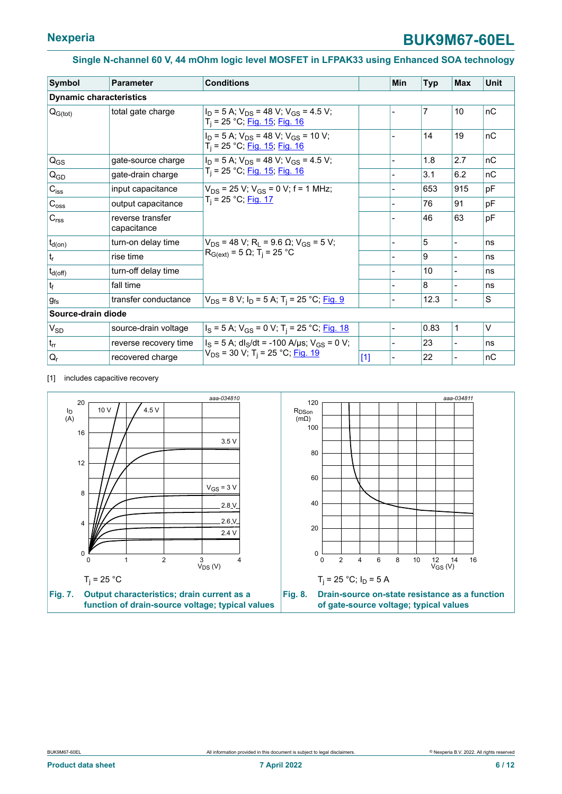<span id="page-5-0"></span>

| <b>Symbol</b>                  | Parameter                       | <b>Conditions</b>                                                                                 |       | Min            | <b>Typ</b> | <b>Max</b>     | <b>Unit</b> |
|--------------------------------|---------------------------------|---------------------------------------------------------------------------------------------------|-------|----------------|------------|----------------|-------------|
| <b>Dynamic characteristics</b> |                                 |                                                                                                   |       |                |            |                |             |
| $Q_{G(tot)}$                   | total gate charge               | $I_D = 5$ A; $V_{DS} = 48$ V; $V_{GS} = 4.5$ V;<br>$T_i$ = 25 °C; Fig. 15; Fig. 16                |       |                | 7          | 10             | nC          |
|                                |                                 | $I_D = 5$ A; $V_{DS} = 48$ V; $V_{GS} = 10$ V;<br>T <sub>i</sub> = 25 °C; <u>Fig. 15; Fig. 16</u> |       |                | 14         | 19             | nC          |
| $Q_{GS}$                       | gate-source charge              | $I_D = 5$ A; $V_{DS} = 48$ V; $V_{GS} = 4.5$ V;                                                   |       |                | 1.8        | 2.7            | nC          |
| $Q_{GD}$                       | gate-drain charge               | T <sub>i</sub> = 25 °C; <u>Fig. 15; Fig. 16</u>                                                   |       |                | 3.1        | 6.2            | nC          |
| $C_{iss}$                      | input capacitance               | $V_{DS}$ = 25 V; $V_{GS}$ = 0 V; f = 1 MHz;<br>T <sub>i</sub> = 25 °C; <u>Fig. 17</u>             |       |                | 653        | 915            | pF          |
| $C_{\rm oss}$                  | output capacitance              |                                                                                                   |       |                | 76         | 91             | pF          |
| C <sub>rss</sub>               | reverse transfer<br>capacitance |                                                                                                   |       |                | 46         | 63             | pF          |
| $ t_{d(\text{on})} $           | turn-on delay time              | $V_{DS}$ = 48 V; R <sub>L</sub> = 9.6 $\Omega$ ; V <sub>GS</sub> = 5 V;                           |       |                | 5          |                | ns          |
| $t_r$                          | rise time                       | $R_{G(ext)} = 5 \Omega$ ; T <sub>i</sub> = 25 °C                                                  |       |                | 9          |                | ns          |
| $t_{\mathsf{d}(\mathsf{off})}$ | turn-off delay time             |                                                                                                   |       |                | 10         |                | ns          |
| $t_f$                          | fall time                       |                                                                                                   |       |                | 8          | $\overline{a}$ | ns          |
| $g_{fs}$                       | transfer conductance            | $V_{DS}$ = 8 V; I <sub>D</sub> = 5 A; T <sub>i</sub> = 25 °C; Fig. 9                              |       |                | 12.3       | $\overline{a}$ | S           |
| Source-drain diode             |                                 |                                                                                                   |       |                |            |                |             |
| $V_{SD}$                       | source-drain voltage            | I <sub>S</sub> = 5 A; V <sub>GS</sub> = 0 V; T <sub>i</sub> = 25 °C; <u>Fig. 18</u>               |       | $\overline{a}$ | 0.83       | $\mathbf{1}$   | V           |
| $t_{rr}$                       | reverse recovery time           | $I_S = 5$ A; dl <sub>S</sub> /dt = -100 A/µs; $V_{GS} = 0$ V;                                     |       |                | 23         |                | ns          |
| $Q_r$                          | recovered charge                | $V_{DS}$ = 30 V; T <sub>i</sub> = 25 °C; Fig. 19                                                  | $[1]$ |                | 22         |                | nC          |

[1] includes capacitive recovery

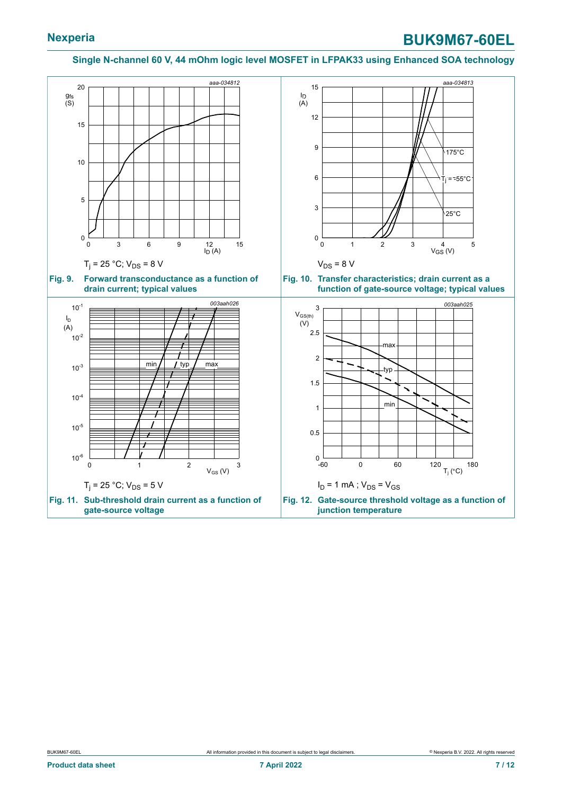<span id="page-6-2"></span><span id="page-6-1"></span><span id="page-6-0"></span>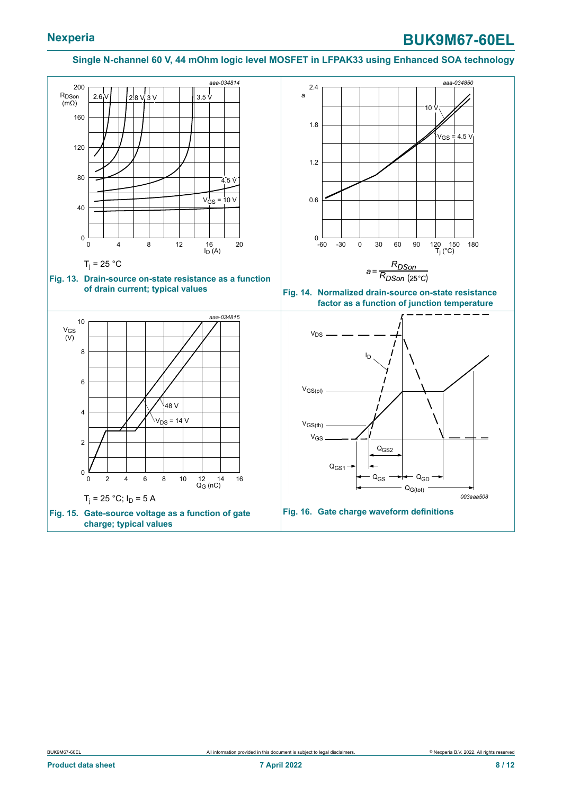<span id="page-7-3"></span><span id="page-7-2"></span><span id="page-7-1"></span><span id="page-7-0"></span>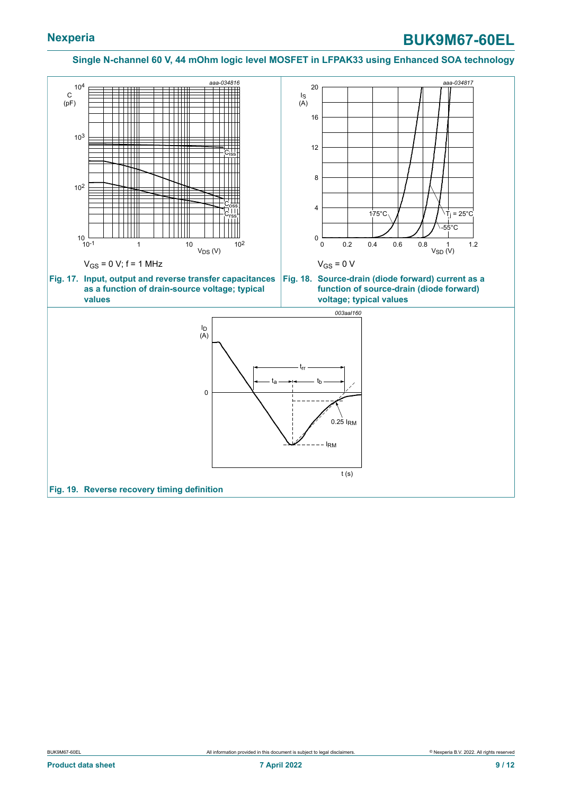<span id="page-8-2"></span><span id="page-8-1"></span><span id="page-8-0"></span>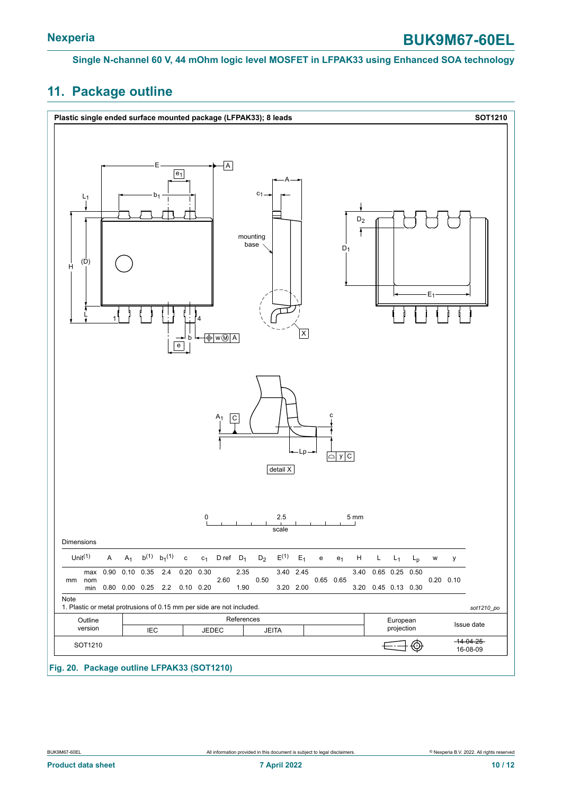## <span id="page-9-0"></span>**11. Package outline**

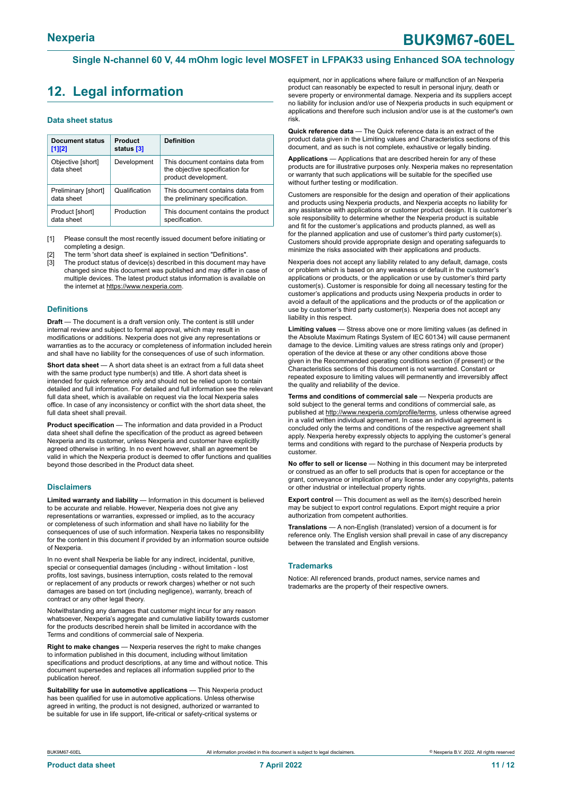## <span id="page-10-0"></span>**12. Legal information**

#### **Data sheet status**

| Document status<br>$[1]$ [2]      | Product<br>status [3] | <b>Definition</b>                                                                           |
|-----------------------------------|-----------------------|---------------------------------------------------------------------------------------------|
| Objective [short]<br>data sheet   | Development           | This document contains data from<br>the objective specification for<br>product development. |
| Preliminary [short]<br>data sheet | Qualification         | This document contains data from<br>the preliminary specification.                          |
| Product [short]<br>data sheet     | Production            | This document contains the product<br>specification.                                        |

[1] Please consult the most recently issued document before initiating or completing a design.

The term 'short data sheet' is explained in section "Definitions".

[3] The product status of device(s) described in this document may have changed since this document was published and may differ in case of multiple devices. The latest product status information is available on the internet at [https://www.nexperia.com.](https://www.nexperia.com)

#### **Definitions**

**Draft** — The document is a draft version only. The content is still under internal review and subject to formal approval, which may result in modifications or additions. Nexperia does not give any representations or warranties as to the accuracy or completeness of information included herein and shall have no liability for the consequences of use of such information.

**Short data sheet** — A short data sheet is an extract from a full data sheet with the same product type number(s) and title. A short data sheet is intended for quick reference only and should not be relied upon to contain detailed and full information. For detailed and full information see the relevant full data sheet, which is available on request via the local Nexperia sales office. In case of any inconsistency or conflict with the short data sheet, the full data sheet shall prevail.

**Product specification** — The information and data provided in a Product data sheet shall define the specification of the product as agreed between Nexperia and its customer, unless Nexperia and customer have explicitly agreed otherwise in writing. In no event however, shall an agreement be valid in which the Nexperia product is deemed to offer functions and qualities beyond those described in the Product data sheet.

#### **Disclaimers**

**Limited warranty and liability** — Information in this document is believed to be accurate and reliable. However, Nexperia does not give any representations or warranties, expressed or implied, as to the accuracy or completeness of such information and shall have no liability for the consequences of use of such information. Nexperia takes no responsibility for the content in this document if provided by an information source outside of Nexperia.

In no event shall Nexperia be liable for any indirect, incidental, punitive, special or consequential damages (including - without limitation - lost profits, lost savings, business interruption, costs related to the removal or replacement of any products or rework charges) whether or not such damages are based on tort (including negligence), warranty, breach of contract or any other legal theory.

Notwithstanding any damages that customer might incur for any reason whatsoever, Nexperia's aggregate and cumulative liability towards customer for the products described herein shall be limited in accordance with the Terms and conditions of commercial sale of Nexperia.

**Right to make changes** — Nexperia reserves the right to make changes to information published in this document, including without limitation specifications and product descriptions, at any time and without notice. This document supersedes and replaces all information supplied prior to the publication hereof

**Suitability for use in automotive applications** — This Nexperia product has been qualified for use in automotive applications. Unless otherwise agreed in writing, the product is not designed, authorized or warranted to be suitable for use in life support, life-critical or safety-critical systems or

equipment, nor in applications where failure or malfunction of an Nexperia product can reasonably be expected to result in personal injury, death or severe property or environmental damage. Nexperia and its suppliers accept no liability for inclusion and/or use of Nexperia products in such equipment or applications and therefore such inclusion and/or use is at the customer's own risk.

**Quick reference data** — The Quick reference data is an extract of the product data given in the Limiting values and Characteristics sections of this document, and as such is not complete, exhaustive or legally binding.

**Applications** — Applications that are described herein for any of these products are for illustrative purposes only. Nexperia makes no representation or warranty that such applications will be suitable for the specified use without further testing or modification.

Customers are responsible for the design and operation of their applications and products using Nexperia products, and Nexperia accepts no liability for any assistance with applications or customer product design. It is customer's sole responsibility to determine whether the Nexperia product is suitable and fit for the customer's applications and products planned, as well as for the planned application and use of customer's third party customer(s). Customers should provide appropriate design and operating safeguards to minimize the risks associated with their applications and products.

Nexperia does not accept any liability related to any default, damage, costs or problem which is based on any weakness or default in the customer's applications or products, or the application or use by customer's third party customer(s). Customer is responsible for doing all necessary testing for the customer's applications and products using Nexperia products in order to avoid a default of the applications and the products or of the application or use by customer's third party customer(s). Nexperia does not accept any liability in this respect.

**Limiting values** — Stress above one or more limiting values (as defined in the Absolute Maximum Ratings System of IEC 60134) will cause permanent damage to the device. Limiting values are stress ratings only and (proper) operation of the device at these or any other conditions above those given in the Recommended operating conditions section (if present) or the Characteristics sections of this document is not warranted. Constant or repeated exposure to limiting values will permanently and irreversibly affect the quality and reliability of the device.

**Terms and conditions of commercial sale** — Nexperia products are sold subject to the general terms and conditions of commercial sale, as published at [http://www.nexperia.com/profile/terms,](http://www.nexperia.com/profile/terms) unless otherwise agreed in a valid written individual agreement. In case an individual agreement is concluded only the terms and conditions of the respective agreement shall apply. Nexperia hereby expressly objects to applying the customer's general terms and conditions with regard to the purchase of Nexperia products by customer.

**No offer to sell or license** — Nothing in this document may be interpreted or construed as an offer to sell products that is open for acceptance or the grant, conveyance or implication of any license under any copyrights, patents or other industrial or intellectual property rights.

**Export control** — This document as well as the item(s) described herein may be subject to export control regulations. Export might require a prior authorization from competent authorities.

**Translations** — A non-English (translated) version of a document is for reference only. The English version shall prevail in case of any discrepancy between the translated and English versions.

#### **Trademarks**

Notice: All referenced brands, product names, service names and trademarks are the property of their respective owners.